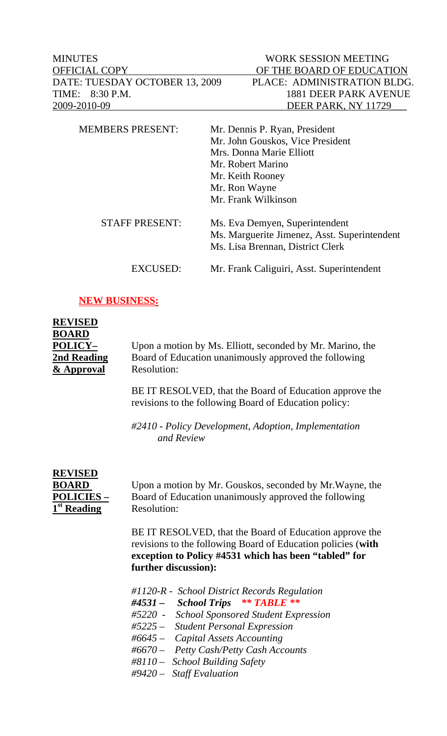| <b>MINUTES</b>                 | WORK SESSION MEETING                         |
|--------------------------------|----------------------------------------------|
| <b>OFFICIAL COPY</b>           | OF THE BOARD OF EDUCATION                    |
| DATE: TUESDAY OCTOBER 13, 2009 | PLACE: ADMINISTRATION BLDG.                  |
| 8:30 P.M.<br>TIME:             | <b>1881 DEER PARK AVENUE</b>                 |
| 2009-2010-09                   | DEER PARK, NY 11729                          |
| <b>MEMBERS PRESENT:</b>        | Mr. Dennis P. Ryan, President                |
|                                | Mr. John Gouskos, Vice President             |
|                                | Mrs. Donna Marie Elliott                     |
|                                | Mr. Robert Marino                            |
|                                | Mr. Keith Rooney                             |
|                                | Mr. Ron Wayne                                |
|                                | Mr. Frank Wilkinson                          |
| <b>STAFF PRESENT:</b>          | Ms. Eva Demyen, Superintendent               |
|                                | Ms. Marguerite Jimenez, Asst. Superintendent |
|                                | Ms. Lisa Brennan, District Clerk             |
| EXCUSED:                       | Mr. Frank Caliguiri, Asst. Superintendent    |

## **NEW BUSINESS:**

| <b>REVISED</b><br><b>BOARD</b><br>POLICY-<br>2nd Reading<br>& Approval | Upon a motion by Ms. Elliott, seconded by Mr. Marino, the<br>Board of Education unanimously approved the following<br><b>Resolution:</b>                                                                                                                                                                      |
|------------------------------------------------------------------------|---------------------------------------------------------------------------------------------------------------------------------------------------------------------------------------------------------------------------------------------------------------------------------------------------------------|
|                                                                        | BE IT RESOLVED, that the Board of Education approve the<br>revisions to the following Board of Education policy:                                                                                                                                                                                              |
|                                                                        | #2410 - Policy Development, Adoption, Implementation<br>and Review                                                                                                                                                                                                                                            |
| <b>REVISED</b><br><b>BOARD</b><br>POLICIES-<br>1 <sup>st</sup> Reading | Upon a motion by Mr. Gouskos, seconded by Mr. Wayne, the<br>Board of Education unanimously approved the following<br>Resolution:                                                                                                                                                                              |
|                                                                        | BE IT RESOLVED, that the Board of Education approve the<br>revisions to the following Board of Education policies (with<br>exception to Policy #4531 which has been "tabled" for<br>further discussion):                                                                                                      |
|                                                                        | #1120-R - School District Records Regulation<br>#4531 - School Trips ** TABLE **<br>#5220 -<br><b>School Sponsored Student Expression</b><br>#5225 $-$<br><b>Student Personal Expression</b><br>#6645 – Capital Assets Accounting<br>#6670 - Petty Cash/Petty Cash Accounts<br>#8110 - School Building Safety |

 *#9420 – Staff Evaluation*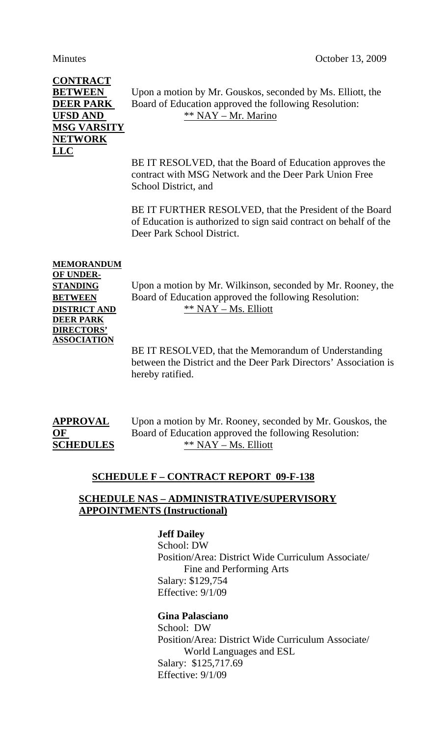# **CONTRACT MSG VARSITY NETWORK LLC**

**BETWEEN** Upon a motion by Mr. Gouskos, seconded by Ms. Elliott, the **DEER PARK** Board of Education approved the following Resolution: **UFSD AND** \*\* NAY – Mr. Marino

> BE IT RESOLVED, that the Board of Education approves the contract with MSG Network and the Deer Park Union Free School District, and

BE IT FURTHER RESOLVED, that the President of the Board of Education is authorized to sign said contract on behalf of the Deer Park School District.

# **MEMORANDUM OF UNDER-DEER PARK DIRECTORS' ASSOCIATION**

**STANDING** Upon a motion by Mr. Wilkinson, seconded by Mr. Rooney, the **BETWEEN** Board of Education approved the following Resolution: **DISTRICT AND** \*\* NAY – Ms. Elliott

> BE IT RESOLVED, that the Memorandum of Understanding between the District and the Deer Park Directors' Association is hereby ratified.

| <b>APPROVAL</b>  |  |
|------------------|--|
| $\bf{O}$ F       |  |
| <b>SCHEDULES</b> |  |

Upon a motion by Mr. Rooney, seconded by Mr. Gouskos, the Board of Education approved the following Resolution: **SCHEDULES** \*\* NAY – Ms. Elliott

#### **SCHEDULE F – CONTRACT REPORT 09-F-138**

#### **SCHEDULE NAS – ADMINISTRATIVE/SUPERVISORY APPOINTMENTS (Instructional)**

 **Jeff Dailey**

 School: DW Position/Area: District Wide Curriculum Associate/ Fine and Performing Arts Salary: \$129,754 Effective: 9/1/09

### **Gina Palasciano**

 School: DW Position/Area: District Wide Curriculum Associate/ World Languages and ESL Salary: \$125,717.69 Effective: 9/1/09